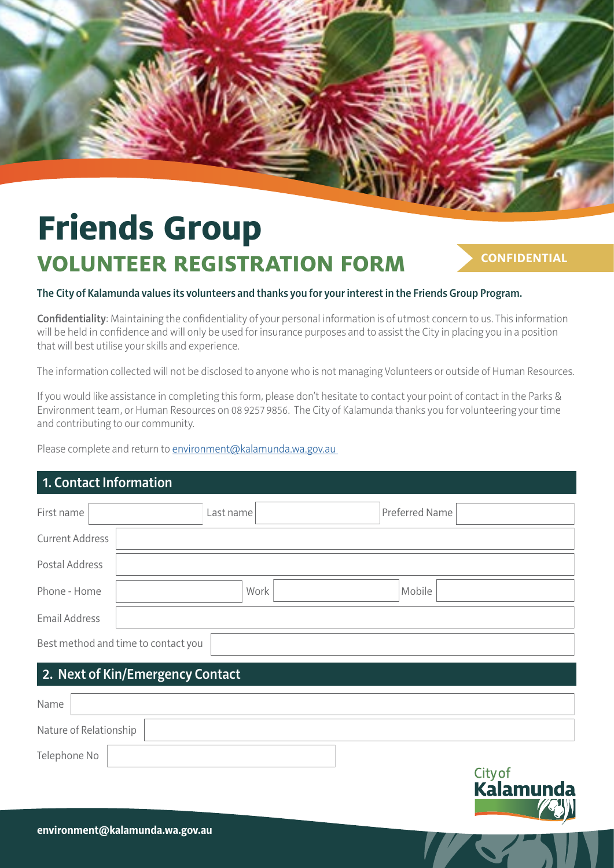# **Friends Group VOLUNTEER REGISTRATION FORM**

### **CONFIDENTIAL**

#### The City of Kalamunda values its volunteers and thanks you for your interest in the Friends Group Program.

Confidentiality: Maintaining the confidentiality of your personal information is of utmost concern to us. This information will be held in confidence and will only be used for insurance purposes and to assist the City in placing you in a position that will best utilise your skills and experience.

The information collected will not be disclosed to anyone who is not managing Volunteers or outside of Human Resources.

If you would like assistance in completing this form, please don't hesitate to contact your point of contact in the Parks & Environment team, or Human Resources on 08 9257 9856. The City of Kalamunda thanks you for volunteering your time and contributing to our community.

Please complete and return to environment@kalamunda.wa.gov.au

## 1. Contact Information

| First name                          | Last name | Preferred Name |  |  |  |
|-------------------------------------|-----------|----------------|--|--|--|
| Current Address                     |           |                |  |  |  |
| Postal Address                      |           |                |  |  |  |
| Phone - Home                        | Work      | Mobile         |  |  |  |
| Email Address                       |           |                |  |  |  |
| Best method and time to contact you |           |                |  |  |  |

### 2. Next of Kin/Emergency Contact

| Name         |                        |       |
|--------------|------------------------|-------|
|              | Nature of Relationship |       |
| Telephone No |                        | ----- |

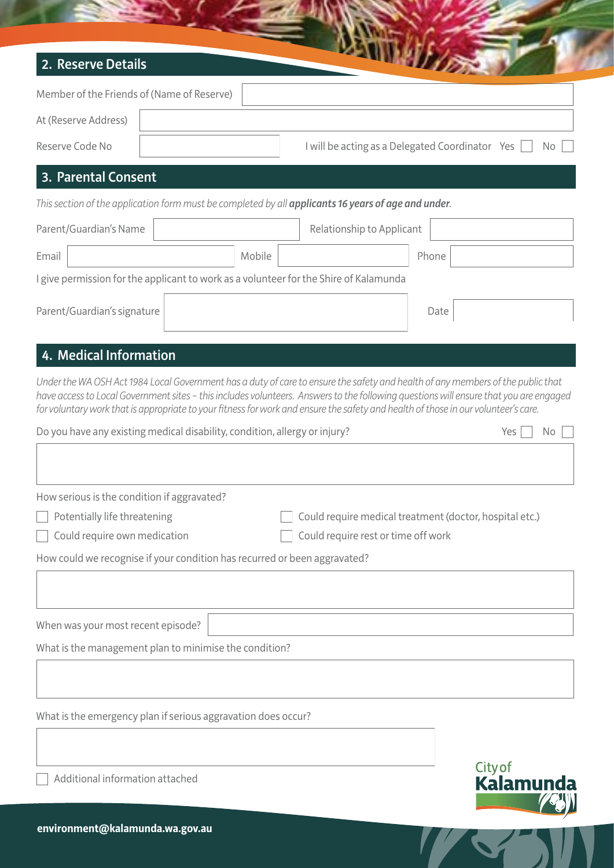| 2. Reserve Details                                                         |        | <b>CONTRACTOR</b>                                                                                                                                                                                                                                                           |       |     |     |
|----------------------------------------------------------------------------|--------|-----------------------------------------------------------------------------------------------------------------------------------------------------------------------------------------------------------------------------------------------------------------------------|-------|-----|-----|
| Member of the Friends of (Name of Reserve)                                 |        |                                                                                                                                                                                                                                                                             |       |     |     |
| At (Reserve Address)                                                       |        |                                                                                                                                                                                                                                                                             |       |     |     |
| Reserve Code No                                                            |        | I will be acting as a Delegated Coordinator Yes                                                                                                                                                                                                                             |       |     | No. |
| 3. Parental Consent                                                        |        |                                                                                                                                                                                                                                                                             |       |     |     |
|                                                                            |        | This section of the application form must be completed by all applicants 16 years of age and under.                                                                                                                                                                         |       |     |     |
| Parent/Guardian's Name                                                     |        | Relationship to Applicant                                                                                                                                                                                                                                                   |       |     |     |
| Email                                                                      | Mobile |                                                                                                                                                                                                                                                                             | Phone |     |     |
|                                                                            |        | I give permission for the applicant to work as a volunteer for the Shire of Kalamunda                                                                                                                                                                                       |       |     |     |
| Parent/Guardian's signature                                                |        |                                                                                                                                                                                                                                                                             | Date  |     |     |
| 4. Medical Information                                                     |        | Under the WA OSH Act 1984 Local Government has a duty of care to ensure the safety and health of any members of the public that                                                                                                                                             |       |     |     |
|                                                                            |        | have access to Local Government sites - this includes volunteers. Answers to the following questions will ensure that you are engaged<br>for voluntary work that is appropriate to your fitness for work and ensure the safety and health of those in our volunteer's care. |       |     |     |
| Do you have any existing medical disability, condition, allergy or injury? |        |                                                                                                                                                                                                                                                                             |       | Yes | No. |
| How serious is the condition if aggravated?                                |        |                                                                                                                                                                                                                                                                             |       |     |     |
| Potentially life threatening                                               |        | Could require medical treatment (doctor, hospital etc.)                                                                                                                                                                                                                     |       |     |     |
| Could require own medication                                               |        | Could require rest or time off work                                                                                                                                                                                                                                         |       |     |     |
| How could we recognise if your condition has recurred or been aggravated?  |        |                                                                                                                                                                                                                                                                             |       |     |     |
|                                                                            |        |                                                                                                                                                                                                                                                                             |       |     |     |
| When was your most recent episode?                                         |        |                                                                                                                                                                                                                                                                             |       |     |     |
| What is the management plan to minimise the condition?                     |        |                                                                                                                                                                                                                                                                             |       |     |     |
|                                                                            |        |                                                                                                                                                                                                                                                                             |       |     |     |

What is the emergency plan if serious aggravation does occur?

Additional information attached

City of<br>**Kalamunda** 

**A**